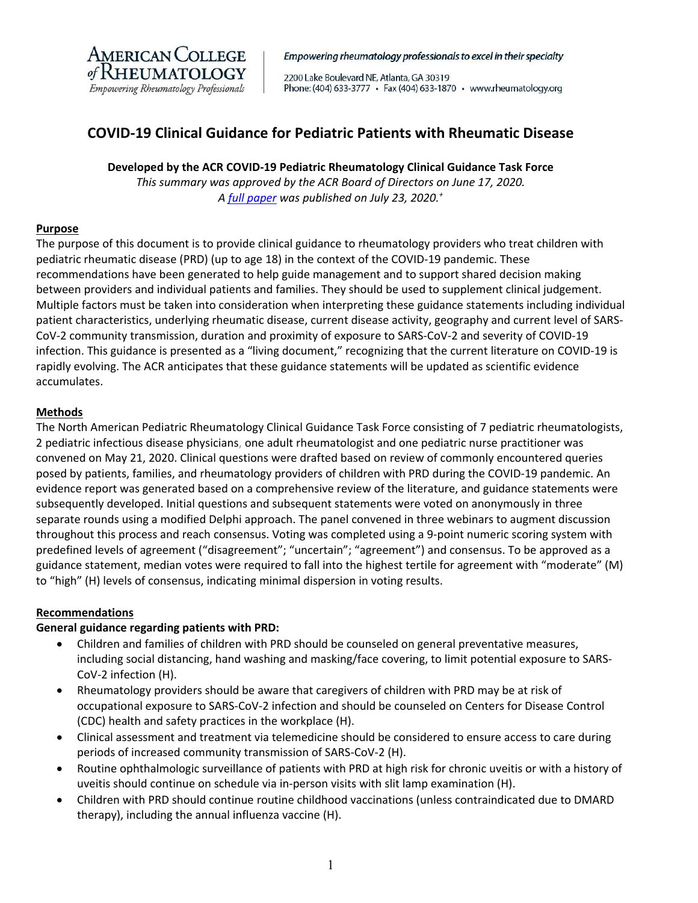

Empowering rheumatology professionals to excel in their specialty

2200 Lake Boulevard NE, Atlanta, GA 30319 Phone: (404) 633-3777 · Fax (404) 633-1870 · www.rheumatology.org

# **COVID‐19 Clinical Guidance for Pediatric Patients with Rheumatic Disease**

# **Developed by the ACR COVID‐19 Pediatric Rheumatology Clinical Guidance Task Force**

*This summary was approved by the ACR Board of Directors on June 17, 2020. A full paper was published on July 23, 2020.+*

### **Purpose**

The purpose of this document is to provide clinical guidance to rheumatology providers who treat children with pediatric rheumatic disease (PRD) (up to age 18) in the context of the COVID‐19 pandemic. These recommendations have been generated to help guide management and to support shared decision making between providers and individual patients and families. They should be used to supplement clinical judgement. Multiple factors must be taken into consideration when interpreting these guidance statements including individual patient characteristics, underlying rheumatic disease, current disease activity, geography and current level of SARS‐ CoV‐2 community transmission, duration and proximity of exposure to SARS‐CoV‐2 and severity of COVID‐19 infection. This guidance is presented as a "living document," recognizing that the current literature on COVID‐19 is rapidly evolving. The ACR anticipates that these guidance statements will be updated as scientific evidence accumulates.

### **Methods**

The North American Pediatric Rheumatology Clinical Guidance Task Force consisting of 7 pediatric rheumatologists, 2 pediatric infectious disease physicians, one adult rheumatologist and one pediatric nurse practitioner was convened on May 21, 2020. Clinical questions were drafted based on review of commonly encountered queries posed by patients, families, and rheumatology providers of children with PRD during the COVID‐19 pandemic. An evidence report was generated based on a comprehensive review of the literature, and guidance statements were subsequently developed. Initial questions and subsequent statements were voted on anonymously in three separate rounds using a modified Delphi approach. The panel convened in three webinars to augment discussion throughout this process and reach consensus. Voting was completed using a 9‐point numeric scoring system with predefined levels of agreement ("disagreement"; "uncertain"; "agreement") and consensus. To be approved as a guidance statement, median votes were required to fall into the highest tertile for agreement with "moderate" (M) to "high" (H) levels of consensus, indicating minimal dispersion in voting results.

### **Recommendations**

### **General guidance regarding patients with PRD:**

- Children and families of children with PRD should be counseled on general preventative measures, including social distancing, hand washing and masking/face covering, to limit potential exposure to SARS‐ CoV‐2 infection (H).
- Rheumatology providers should be aware that caregivers of children with PRD may be at risk of occupational exposure to SARS‐CoV‐2 infection and should be counseled on Centers for Disease Control (CDC) health and safety practices in the workplace (H).
- Clinical assessment and treatment via telemedicine should be considered to ensure access to care during periods of increased community transmission of SARS‐CoV‐2 (H).
- Routine ophthalmologic surveillance of patients with PRD at high risk for chronic uveitis or with a history of uveitis should continue on schedule via in‐person visits with slit lamp examination (H).
- Children with PRD should continue routine childhood vaccinations (unless contraindicated due to DMARD therapy), including the annual influenza vaccine (H).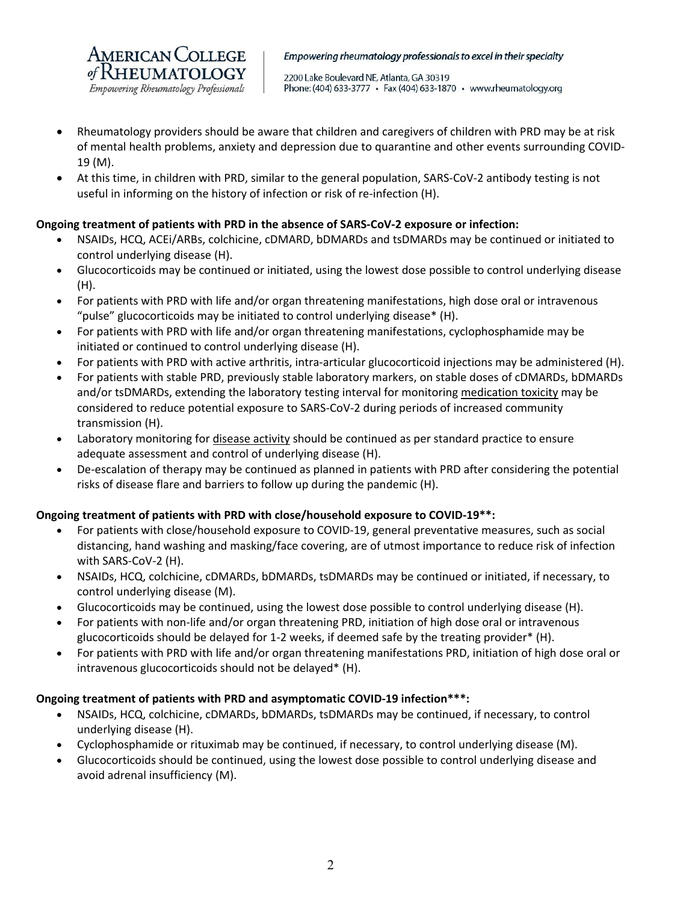

Empowering rheumatology professionals to excel in their specialty

2200 Lake Boulevard NE, Atlanta, GA 30319 Phone: (404) 633-3777 · Fax (404) 633-1870 · www.rheumatology.org

- Rheumatology providers should be aware that children and caregivers of children with PRD may be at risk of mental health problems, anxiety and depression due to quarantine and other events surrounding COVID‐ 19 (M).
- At this time, in children with PRD, similar to the general population, SARS-CoV-2 antibody testing is not useful in informing on the history of infection or risk of re-infection (H).

# **Ongoing treatment of patients with PRD in the absence of SARS‐CoV‐2 exposure or infection:**

- NSAIDs, HCQ, ACEi/ARBs, colchicine, cDMARD, bDMARDs and tsDMARDs may be continued or initiated to control underlying disease (H).
- Glucocorticoids may be continued or initiated, using the lowest dose possible to control underlying disease (H).
- For patients with PRD with life and/or organ threatening manifestations, high dose oral or intravenous "pulse" glucocorticoids may be initiated to control underlying disease\* (H).
- For patients with PRD with life and/or organ threatening manifestations, cyclophosphamide may be initiated or continued to control underlying disease (H).
- For patients with PRD with active arthritis, intra-articular glucocorticoid injections may be administered (H).
- For patients with stable PRD, previously stable laboratory markers, on stable doses of cDMARDs, bDMARDs and/or tsDMARDs, extending the laboratory testing interval for monitoring medication toxicity may be considered to reduce potential exposure to SARS‐CoV‐2 during periods of increased community transmission (H).
- Laboratory monitoring for disease activity should be continued as per standard practice to ensure adequate assessment and control of underlying disease (H).
- De-escalation of therapy may be continued as planned in patients with PRD after considering the potential risks of disease flare and barriers to follow up during the pandemic (H).

# **Ongoing treatment of patients with PRD with close/household exposure to COVID‐19\*\*:**

- For patients with close/household exposure to COVID‐19, general preventative measures, such as social distancing, hand washing and masking/face covering, are of utmost importance to reduce risk of infection with SARS‐CoV‐2 (H).
- NSAIDs, HCQ, colchicine, cDMARDs, bDMARDs, tsDMARDs may be continued or initiated, if necessary, to control underlying disease (M).
- Glucocorticoids may be continued, using the lowest dose possible to control underlying disease (H).
- For patients with non‐life and/or organ threatening PRD, initiation of high dose oral or intravenous glucocorticoids should be delayed for 1‐2 weeks, if deemed safe by the treating provider\* (H).
- For patients with PRD with life and/or organ threatening manifestations PRD, initiation of high dose oral or intravenous glucocorticoids should not be delayed\* (H).

### **Ongoing treatment of patients with PRD and asymptomatic COVID‐19 infection\*\*\*:**

- NSAIDs, HCQ, colchicine, cDMARDs, bDMARDs, tsDMARDs may be continued, if necessary, to control underlying disease (H).
- Cyclophosphamide or rituximab may be continued, if necessary, to control underlying disease (M).
- Glucocorticoids should be continued, using the lowest dose possible to control underlying disease and avoid adrenal insufficiency (M).